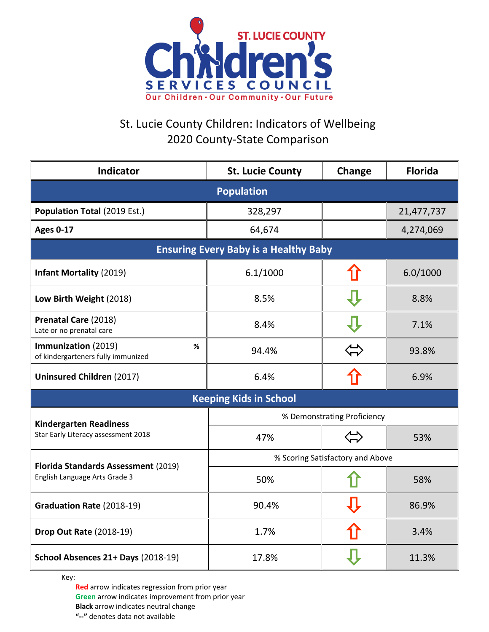

## St. Lucie County Children: Indicators of Wellbeing 2020 County-State Comparison

| <b>Indicator</b>                                                     | <b>St. Lucie County</b>          | Change   | <b>Florida</b> |  |
|----------------------------------------------------------------------|----------------------------------|----------|----------------|--|
| <b>Population</b>                                                    |                                  |          |                |  |
| Population Total (2019 Est.)                                         | 328,297                          |          | 21,477,737     |  |
| <b>Ages 0-17</b>                                                     | 64,674                           |          | 4,274,069      |  |
| <b>Ensuring Every Baby is a Healthy Baby</b>                         |                                  |          |                |  |
| <b>Infant Mortality (2019)</b>                                       | 6.1/1000                         |          | 6.0/1000       |  |
| Low Birth Weight (2018)                                              | 8.5%                             |          | 8.8%           |  |
| Prenatal Care (2018)<br>Late or no prenatal care                     | 8.4%                             |          | 7.1%           |  |
| Immunization (2019)<br>%<br>of kindergarteners fully immunized       | 94.4%                            | ∕⊥<br>≻— | 93.8%          |  |
| <b>Uninsured Children (2017)</b>                                     | 6.4%                             |          | 6.9%           |  |
| <b>Keeping Kids in School</b>                                        |                                  |          |                |  |
| <b>Kindergarten Readiness</b><br>Star Early Literacy assessment 2018 | % Demonstrating Proficiency      |          |                |  |
|                                                                      | 47%                              |          | 53%            |  |
| Florida Standards Assessment (2019)<br>English Language Arts Grade 3 | % Scoring Satisfactory and Above |          |                |  |
|                                                                      | 50%                              |          | 58%            |  |
| <b>Graduation Rate (2018-19)</b>                                     | 90.4%                            |          | 86.9%          |  |
| <b>Drop Out Rate (2018-19)</b>                                       | 1.7%                             |          | 3.4%           |  |
| School Absences 21+ Days (2018-19)                                   | 17.8%                            |          | 11.3%          |  |

Key:

**Red** arrow indicates regression from prior year **Green** arrow indicates improvement from prior year **Black** arrow indicates neutral change **"--"** denotes data not available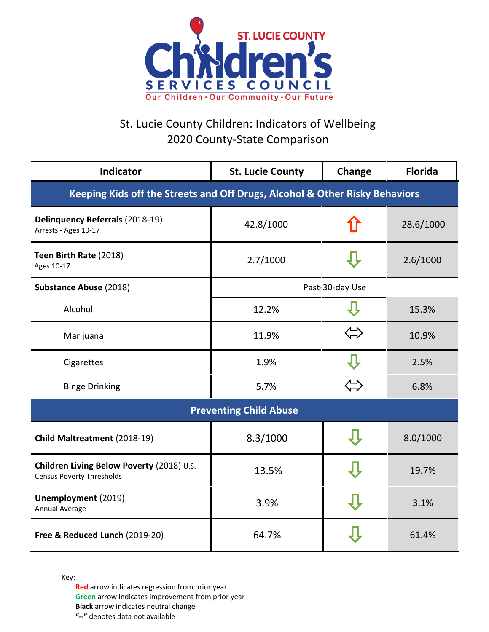

## St. Lucie County Children: Indicators of Wellbeing 2020 County-State Comparison

| <b>Indicator</b>                                                              | <b>St. Lucie County</b> | Change | <b>Florida</b> |  |
|-------------------------------------------------------------------------------|-------------------------|--------|----------------|--|
| Keeping Kids off the Streets and Off Drugs, Alcohol & Other Risky Behaviors   |                         |        |                |  |
| Delinquency Referrals (2018-19)<br>Arrests - Ages 10-17                       | 42.8/1000               |        | 28.6/1000      |  |
| Teen Birth Rate (2018)<br>Ages 10-17                                          | 2.7/1000                |        | 2.6/1000       |  |
| <b>Substance Abuse (2018)</b>                                                 | Past-30-day Use         |        |                |  |
| Alcohol                                                                       | 12.2%                   |        | 15.3%          |  |
| Marijuana                                                                     | 11.9%                   |        | 10.9%          |  |
| Cigarettes                                                                    | 1.9%                    |        | 2.5%           |  |
| <b>Binge Drinking</b>                                                         | 5.7%                    |        | 6.8%           |  |
| <b>Preventing Child Abuse</b>                                                 |                         |        |                |  |
| Child Maltreatment (2018-19)                                                  | 8.3/1000                |        | 8.0/1000       |  |
| Children Living Below Poverty (2018) U.S.<br><b>Census Poverty Thresholds</b> | 13.5%                   |        | 19.7%          |  |
| Unemployment (2019)<br>Annual Average                                         | 3.9%                    |        | 3.1%           |  |
| Free & Reduced Lunch (2019-20)                                                | 64.7%                   |        | 61.4%          |  |

Key:

**Red** arrow indicates regression from prior year **Green** arrow indicates improvement from prior year **Black** arrow indicates neutral change **"--"** denotes data not available